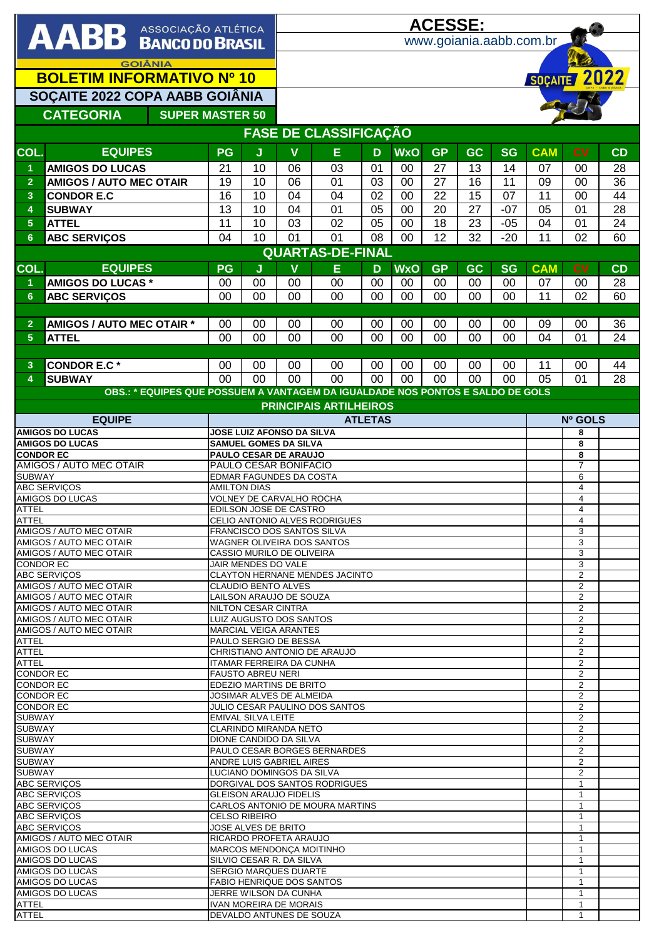| AABB ASSOCIAÇÃO ATLÉTICA                    |                                                                                |                                                             | <u>ACESSE:</u><br>www.goiania.aabb.com.br                   |                                  |                                 |                |            |           |           |                                  |                                  |                                  |          |
|---------------------------------------------|--------------------------------------------------------------------------------|-------------------------------------------------------------|-------------------------------------------------------------|----------------------------------|---------------------------------|----------------|------------|-----------|-----------|----------------------------------|----------------------------------|----------------------------------|----------|
|                                             |                                                                                |                                                             |                                                             |                                  |                                 |                |            |           |           |                                  |                                  |                                  |          |
| <b>GOIÂNIA</b>                              |                                                                                |                                                             |                                                             |                                  |                                 |                |            |           |           |                                  |                                  |                                  |          |
| <b>BOLETIM INFORMATIVO Nº 10</b>            |                                                                                |                                                             |                                                             | SOÇAITE 2022                     |                                 |                |            |           |           |                                  |                                  |                                  |          |
| SOCAITE 2022 COPA AABB GOIÂNIA              |                                                                                |                                                             |                                                             |                                  |                                 |                |            |           |           |                                  |                                  |                                  |          |
| <b>CATEGORIA</b><br><b>SUPER MASTER 50</b>  |                                                                                |                                                             |                                                             |                                  |                                 |                |            |           |           |                                  |                                  |                                  |          |
|                                             |                                                                                |                                                             |                                                             |                                  | <b>FASE DE CLASSIFICAÇÃO</b>    |                |            |           |           |                                  |                                  |                                  |          |
| COL.                                        | <b>EQUIPES</b>                                                                 | <b>PG</b>                                                   | J                                                           | $\mathbf v$                      | E                               | D              | <b>WxO</b> | <b>GP</b> | <b>GC</b> | <b>SG</b>                        | <b>CAM</b>                       | <b>CV</b>                        | CD       |
| 1                                           | <b>AMIGOS DO LUCAS</b>                                                         | 21                                                          | 10                                                          | 06                               | 03                              | 01             | 00         | 27        | 13        | 14                               | 07                               | 00                               | 28       |
| $\overline{2}$                              | <b>AMIGOS / AUTO MEC OTAIR</b>                                                 | 19                                                          | 10                                                          | 06                               | 01                              | 03             | 00         | 27        | 16        | 11                               | 09                               | 00                               | 36       |
| 3                                           | <b>CONDOR E.C</b>                                                              | 16                                                          | 10                                                          | 04                               | 04                              | 02             | 00         | 22        | 15        | 07                               | 11                               | 00                               | 44       |
| 4                                           | <b>SUBWAY</b>                                                                  | 13                                                          | 10                                                          | 04                               | 01                              | 05             | 00         | 20        | 27        | $-07$                            | 05                               | 01                               | 28       |
| $5\phantom{.0}$                             | <b>ATTEL</b>                                                                   | 11                                                          | 10                                                          | 03                               | 02                              | 05             | 00         | 18        | 23        | $-05$                            | 04                               | 01                               | 24       |
| 6                                           | <b>ABC SERVIÇOS</b>                                                            | 04                                                          | 10                                                          | 01                               | 01                              | 08             | 00         | 12        | 32        | $-20$                            | 11                               | 02                               | 60       |
|                                             |                                                                                |                                                             |                                                             |                                  | <b>QUARTAS-DE-FINAL</b>         |                |            |           |           |                                  |                                  |                                  |          |
| COL.                                        | <b>EQUIPES</b>                                                                 | PG                                                          | J                                                           | $\mathbf v$                      | E                               | D              | <b>WxO</b> | <b>GP</b> | <b>GC</b> | <b>SG</b>                        | <b>CAM</b>                       | <b>CV</b>                        | CD       |
| $\blacktriangleleft$<br>$6\phantom{1}$      | <b>AMIGOS DO LUCAS *</b><br><b>ABC SERVIÇOS</b>                                | 00<br>00                                                    | 00<br>00                                                    | 00<br>00                         | 00<br>00                        | 00<br>00       | 00<br>00   | 00<br>00  | 00<br>00  | 00<br>00                         | 07<br>11                         | 00<br>02                         | 28<br>60 |
|                                             |                                                                                |                                                             |                                                             |                                  |                                 |                |            |           |           |                                  |                                  |                                  |          |
| $\overline{2}$                              | AMIGOS / AUTO MEC OTAIR *                                                      | 00                                                          | 00                                                          | 00                               | 00                              | 00             | 00         | 00        | 00        | 00                               | 09                               | 00                               | 36       |
| 5                                           | <b>ATTEL</b>                                                                   | 00                                                          | 00                                                          | 00                               | 00                              | 00             | 00         | 00        | 00        | 00                               | 04                               | 0 <sub>1</sub>                   | 24       |
|                                             |                                                                                |                                                             |                                                             |                                  |                                 |                |            |           |           |                                  |                                  |                                  |          |
| 3<br>4                                      | <b>CONDOR E.C*</b><br><b>SUBWAY</b>                                            | 00                                                          | 00                                                          | 00                               | 00                              | 00             | 00         | 00        | 00        | 00                               | 11                               | 00                               | 44       |
|                                             | OBS.: * EQUIPES QUE POSSUEM A VANTAGEM DA IGUALDADE NOS PONTOS E SALDO DE GOLS | 0 <sub>0</sub>                                              | 00                                                          | 00                               | 00                              | 00             | 00         | 00        | 00        | 00                               | 05                               | 01                               | 28       |
|                                             |                                                                                |                                                             |                                                             |                                  | <b>PRINCIPAIS ARTILHEIROS</b>   |                |            |           |           |                                  |                                  |                                  |          |
|                                             | <b>EQUIPE</b>                                                                  |                                                             |                                                             |                                  |                                 | <b>ATLETAS</b> |            |           |           |                                  |                                  | Nº GOLS                          |          |
|                                             | <b>AMIGOS DO LUCAS</b>                                                         |                                                             |                                                             | <b>JOSE LUIZ AFONSO DA SILVA</b> |                                 |                |            |           |           |                                  |                                  | 8                                |          |
| <b>CONDOR EC</b>                            | <b>AMIGOS DO LUCAS</b>                                                         | <b>SAMUEL GOMES DA SILVA</b><br>PAULO CESAR DE ARAUJO       |                                                             |                                  |                                 |                |            |           |           | 8<br>8                           |                                  |                                  |          |
| AMIGOS / AUTO MEC OTAIR                     |                                                                                |                                                             | PAULO CESAR BONIFACIO                                       |                                  |                                 |                |            |           |           |                                  | 7                                |                                  |          |
| <b>SUBWAY</b>                               |                                                                                | EDMAR FAGUNDES DA COSTA<br><b>AMILTON DIAS</b>              |                                                             |                                  |                                 |                |            |           |           |                                  | 6<br>4                           |                                  |          |
| <b>ABC SERVIÇOS</b><br>AMIGOS DO LUCAS      |                                                                                |                                                             | <b>VOLNEY DE CARVALHO ROCHA</b>                             |                                  |                                 |                |            |           |           |                                  |                                  | $\overline{\mathbf{4}}$          |          |
| <b>ATTEL</b>                                |                                                                                | EDILSON JOSE DE CASTRO                                      |                                                             |                                  |                                 |                |            |           |           |                                  | 4<br>$\overline{4}$              |                                  |          |
| <b>ATTEL</b><br>AMIGOS / AUTO MEC OTAIR     |                                                                                |                                                             | CELIO ANTONIO ALVES RODRIGUES<br>FRANCISCO DOS SANTOS SILVA |                                  |                                 |                |            |           |           |                                  |                                  | 3                                |          |
|                                             | AMIGOS / AUTO MEC OTAIR                                                        | <b>WAGNER OLIVEIRA DOS SANTOS</b>                           |                                                             |                                  |                                 |                |            |           |           |                                  | 3                                |                                  |          |
| AMIGOS / AUTO MEC OTAIR<br><b>CONDOR EC</b> |                                                                                | CASSIO MURILO DE OLIVEIRA<br>JAIR MENDES DO VALE            |                                                             |                                  |                                 |                |            |           |           |                                  | 3<br>3                           |                                  |          |
|                                             | <b>ABC SERVIÇOS</b>                                                            | CLAYTON HERNANE MENDES JACINTO                              |                                                             |                                  |                                 |                |            |           |           |                                  | 2                                |                                  |          |
|                                             | AMIGOS / AUTO MEC OTAIR<br>AMIGOS / AUTO MEC OTAIR                             | <b>CLAUDIO BENTO ALVES</b><br>LAILSON ARAUJO DE SOUZA       |                                                             |                                  |                                 |                |            |           |           |                                  | $\overline{2}$<br>$\overline{2}$ |                                  |          |
|                                             | AMIGOS / AUTO MEC OTAIR                                                        | NILTON CESAR CINTRA                                         |                                                             |                                  |                                 |                |            |           |           |                                  | 2                                |                                  |          |
|                                             | AMIGOS / AUTO MEC OTAIR                                                        | LUIZ AUGUSTO DOS SANTOS<br><b>MARCIAL VEIGA ARANTES</b>     |                                                             |                                  |                                 |                |            |           |           |                                  | $\overline{2}$                   |                                  |          |
| <b>ATTEL</b>                                | AMIGOS / AUTO MEC OTAIR                                                        | PAULO SERGIO DE BESSA                                       |                                                             |                                  |                                 |                |            |           |           |                                  | $\overline{2}$<br>2              |                                  |          |
| <b>ATTEL</b>                                |                                                                                | CHRISTIANO ANTONIO DE ARAUJO                                |                                                             |                                  |                                 |                |            |           |           |                                  | 2                                |                                  |          |
| <b>ATTEL</b><br><b>CONDOR EC</b>            |                                                                                | <b>ITAMAR FERREIRA DA CUNHA</b><br><b>FAUSTO ABREU NERI</b> |                                                             |                                  |                                 |                |            |           |           | $\overline{c}$<br>$\overline{2}$ |                                  |                                  |          |
| <b>CONDOR EC</b>                            |                                                                                | EDEZIO MARTINS DE BRITO                                     |                                                             |                                  |                                 |                |            |           |           | 2                                |                                  |                                  |          |
| <b>CONDOR EC</b><br><b>CONDOR EC</b>        |                                                                                |                                                             |                                                             | JOSIMAR ALVES DE ALMEIDA         | JULIO CESAR PAULINO DOS SANTOS  |                |            |           |           |                                  |                                  | $\overline{2}$<br>$\overline{2}$ |          |
| <b>SUBWAY</b>                               |                                                                                |                                                             | <b>EMIVAL SILVA LEITE</b>                                   |                                  |                                 |                |            |           |           |                                  |                                  | $\overline{2}$                   |          |
| <b>SUBWAY</b>                               |                                                                                |                                                             |                                                             | <b>CLARINDO MIRANDA NETO</b>     |                                 |                |            |           |           |                                  |                                  | $\overline{2}$<br>$\overline{2}$ |          |
| <b>SUBWAY</b><br><b>SUBWAY</b>              |                                                                                |                                                             |                                                             | DIONE CANDIDO DA SILVA           | PAULO CESAR BORGES BERNARDES    |                |            |           |           |                                  |                                  | $\overline{2}$                   |          |
| <b>SUBWAY</b>                               |                                                                                |                                                             | ANDRE LUIS GABRIEL AIRES                                    |                                  |                                 |                |            |           |           |                                  | 2                                |                                  |          |
| <b>SUBWAY</b><br><b>ABC SERVIÇOS</b>        |                                                                                |                                                             | LUCIANO DOMINGOS DA SILVA<br>DORGIVAL DOS SANTOS RODRIGUES  |                                  |                                 |                |            |           |           |                                  | $\overline{2}$<br>$\mathbf{1}$   |                                  |          |
| <b>ABC SERVIÇOS</b>                         |                                                                                |                                                             | <b>GLEISON ARAUJO FIDELIS</b>                               |                                  |                                 |                |            |           |           |                                  | 1                                |                                  |          |
| <b>ABC SERVIÇOS</b>                         |                                                                                |                                                             |                                                             |                                  | CARLOS ANTONIO DE MOURA MARTINS |                |            |           |           |                                  |                                  | $\mathbf{1}$<br>$\mathbf{1}$     |          |
| <b>ABC SERVIÇOS</b><br><b>ABC SERVIÇOS</b>  |                                                                                |                                                             | <b>CELSO RIBEIRO</b><br>JOSE ALVES DE BRITO                 |                                  |                                 |                |            |           |           |                                  | $\mathbf{1}$                     |                                  |          |
| AMIGOS / AUTO MEC OTAIR                     |                                                                                | RICARDO PROFETA ARAUJO                                      |                                                             |                                  |                                 |                |            |           |           | $\mathbf{1}$                     |                                  |                                  |          |
| AMIGOS DO LUCAS<br>AMIGOS DO LUCAS          |                                                                                |                                                             | MARCOS MENDONÇA MOITINHO<br>SILVIO CESAR R. DA SILVA        |                                  |                                 |                |            |           |           |                                  | $\mathbf{1}$<br>$\mathbf{1}$     |                                  |          |
| AMIGOS DO LUCAS                             |                                                                                |                                                             | <b>SERGIO MARQUES DUARTE</b>                                |                                  |                                 |                |            |           |           |                                  | $\mathbf{1}$                     |                                  |          |
| AMIGOS DO LUCAS<br>AMIGOS DO LUCAS          |                                                                                |                                                             | <b>FABIO HENRIQUE DOS SANTOS</b><br>JERRE WILSON DA CUNHA   |                                  |                                 |                |            |           |           | $\mathbf{1}$<br>$\mathbf{1}$     |                                  |                                  |          |
| <b>ATTEL</b>                                |                                                                                | <b>IVAN MOREIRA DE MORAIS</b><br>$\mathbf{1}$               |                                                             |                                  |                                 |                |            |           |           |                                  |                                  |                                  |          |
| <b>ATTEL</b>                                |                                                                                | DEVALDO ANTUNES DE SOUZA                                    |                                                             |                                  |                                 |                |            |           |           | 1                                |                                  |                                  |          |